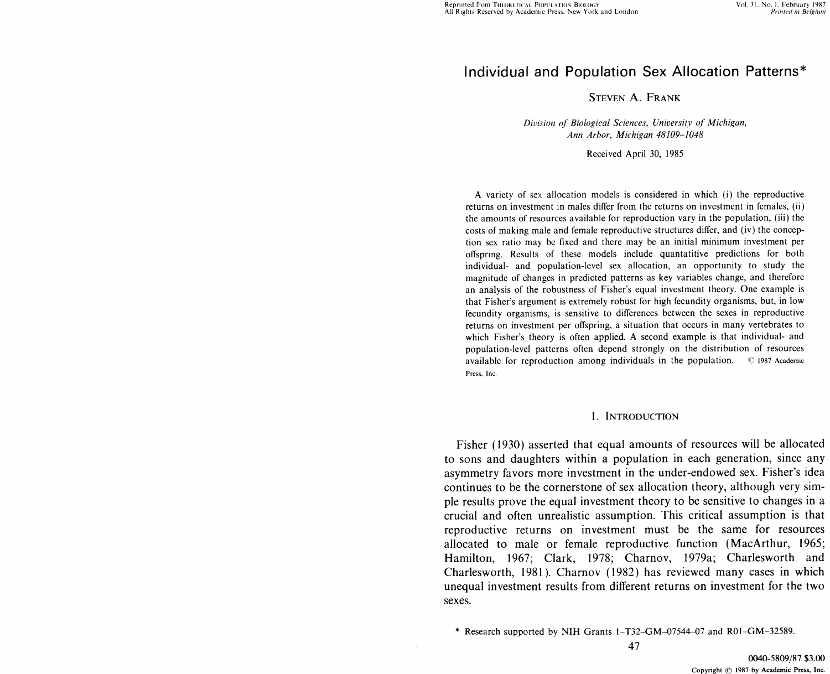# **Individual and Population Sex Allocation Patterns\***

# STEVEN A. FRANK

*Division of Biological Sciences, University of Michigan, Ann Arbor, Michigan 48109-1048*

Received April 30, 1985

A variety of sex allocation models is considered in which (i) the reproductive returns on investment in males differ from the returns on investment in females, (ii) the amounts of resources available for reproduction vary in the population, (iii) the costs of making male and female reproductive structures differ, and (iv) the conception sex ratio may be fixed and there may be an initial minimum investment per offspring. Results of these models include quantatitive predictions for both individual- and population-level sex allocation, an opportunity to study the magnitude of changes in predicted patterns as key variables change, and therefore an analysis of the robustness of Fisher's equal investment theory. One example is that Fisher's argument is extremely robust for high fecundity organisms, but, in low fecundity organisms, is sensitive to differences between the sexes in reproductive returns on investment per offspring, a situation that occurs in many vertebrates to which Fisher's theory is often applied. A second example is that individual- and population-level patterns often depend strongly on the distribution of resources available for reproduction among individuals in the population.  $\circ$  1987 Academic Press, Inc.

#### 1. INTRODUCTION

Fisher (1930) asserted that equal amounts of resources will be allocated to sons and daughters within a population in each generation, since any asymmetry favors more investment in the under-endowed sex. Fisher's idea continues to be the cornerstone of sex allocation theory, although very simple results prove the equal investment theory to be sensitive to changes in a crucial and often unrealistic assumption. This critical assumption is that reproductive returns on investment must be the same for resources allocated to male or female reproductive function (MacArthur, 1965; Hamilton, 1967; Clark, 1978; Charnov, 1979a; Charlesworth and Charlesworth, 1981). Charnov (1982) has reviewed many cases in which unequal investment results from different returns on investment for the two sexes.

Research supported by NIH Grants 1-T32-GM-07544-07 and R01-GM-32589.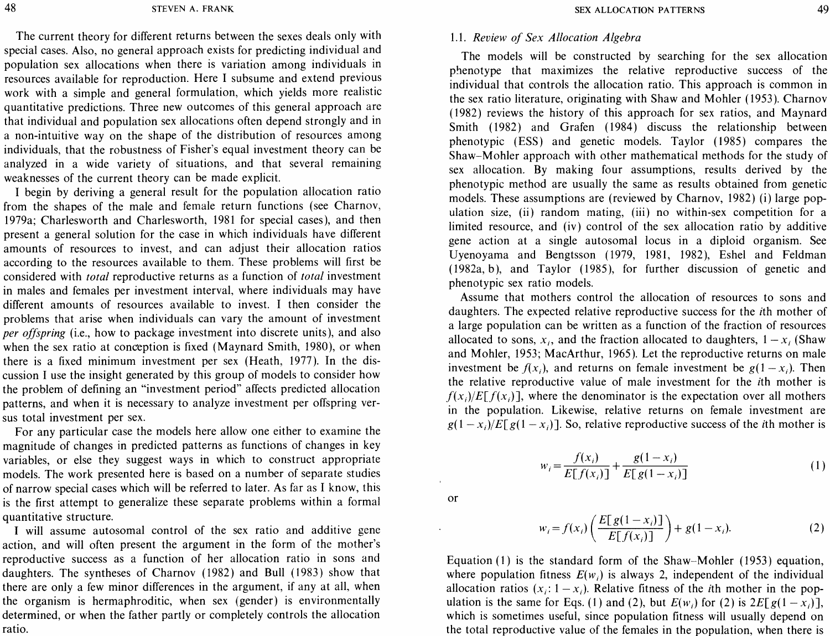The current theory for different returns between the sexes deals only with special cases. Also, no general approach exists for predicting individual and population sex allocations when there is variation among individuals in resources available for reproduction. Here I subsume and extend previous work with a simple and general formulation, which yields more realistic quantitative predictions. Three new outcomes of this general approach are that individual and population sex allocations often depend strongly and in a non-intuitive way on the shape of the distribution of resources among individuals, that the robustness of Fisher's equal investment theory can be analyzed in a wide variety of situations, and that several remaining weaknesses of the current theory can be made explicit.

I begin by deriving a general result for the population allocation ratio from the shapes of the male and female return functions (see Charnov, 1979a; Charlesworth and Charlesworth, 1981 for special cases), and then present a general solution for the case in which individuals have different amounts of resources to invest, and can adjust their allocation ratios according to the resources available to them. These problems will first be considered with *total* reproductive returns as a function of *total* investment in males and females per investment interval, where individuals may have different amounts of resources available to invest. I then consider the problems that arise when individuals can vary the amount of investment *per offspring (i.e.,* how to package investment into discrete units), and also when the sex ratio at conception is fixed (Maynard Smith, 1980), or when there is a fixed minimum investment per sex (Heath, 1977). In the discussion I use the insight generated by this group of models to consider how the problem of defining an "investment period" affects predicted allocation patterns, and when it is necessary to analyze investment per offspring versus total investment per sex.

For any particular case the models here allow one either to examine the magnitude of changes in predicted patterns as functions of changes in key variables, or else they suggest ways in which to construct appropriate models. The work presented here is based on a number of separate studies of narrow special cases which will be referred to later. As far as I know, this is the first attempt to generalize these separate problems within a formal quantitative structure.

I will assume autosomal control of the sex ratio and additive gene action, and will often present the argument in the form of the mother's reproductive success as a function of her allocation ratio in sons and daughters. The syntheses of Charnov (1982) and Bull (1983) show that there are only a few minor differences in the argument, if any at all, when the organism is hermaphroditic, when sex (gender) is environmentally determined, or when the father partly or completely controls the allocation ratio.

## 1.1. *Review of Sex Allocation Algebra*

The models will be constructed by searching for the sex allocation phenotype that maximizes the relative reproductive success of the individual that controls the allocation ratio. This approach is common in the sex ratio literature, originating with Shaw and Mohler (1953). Charnov (1982) reviews the history of this approach for sex ratios, and Maynard Smith (1982) and Grafen (1984) discuss the relationship between phenotypic (ESS) and genetic models. Taylor (1985) compares the Shaw—Mohler approach with other mathematical methods for the study of sex allocation. By making four assumptions, results derived by the phenotypic method are usually the same as results obtained from genetic models. These assumptions are (reviewed by Charnov, 1982) (i) large population size, (ii) random mating, (iii) no within-sex competition for a limited resource, and (iv) control of the sex allocation ratio by additive gene action at a single autosomal locus in a diploid organism. See Uyenoyama and Bengtsson (1979, 1981, 1982), Eshel and Feldman (1982a, b), and Taylor (1985), for further discussion of genetic and phenotypic sex ratio models.

Assume that mothers control the allocation of resources to sons and daughters. The expected relative reproductive success for the ith mother of a large population can be written as a function of the fraction of resources allocated to sons,  $x_i$ , and the fraction allocated to daughters,  $1 - x_i$  (Shaw and Mohler, 1953; MacArthur, 1965). Let the reproductive returns on male investment be  $f(x_i)$ , and returns on female investment be  $g(1-x_i)$ . Then the relative reproductive value of male investment for the ith mother is  $f(x_i)/E[f(x_i)]$ , where the denominator is the expectation over all mothers in the population. Likewise, relative returns on female investment are  $g(1-x_i)/E[g(1-x_i)]$ . So, relative reproductive success of the *i*th mother is

$$
w_i = \frac{f(x_i)}{E[f(x_i)]} + \frac{g(1 - x_i)}{E[g(1 - x_i)]}
$$
(1)

or

$$
w_i = f(x_i) \left( \frac{E[g(1-x_i)]}{E[f(x_i)]} \right) + g(1-x_i).
$$
 (2)

Equation (1) is the standard form of the Shaw—Mohler (1953) equation, where population fitness  $E(w_i)$  is always 2, independent of the individual allocation ratios  $(x_i: 1-x_i)$ . Relative fitness of the *i*th mother in the population is the same for Eqs. (1) and (2), but  $E(w_i)$  for (2) is  $2E[g(1-x_i)],$ which is sometimes useful, since population fitness will usually depend on the total reproductive value of the females in the population, when there is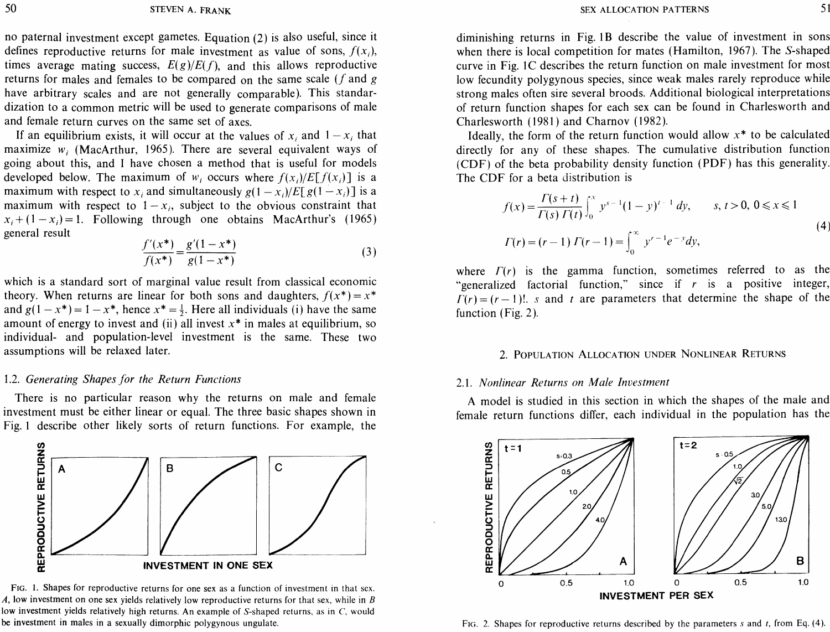no paternal investment except gametes. Equation (2) is also useful, since it defines reproductive returns for male investment as value of sons,  $f(x_i)$ , times average mating success,  $E(g)/E(f)$ , and this allows reproductive returns for males and females to be compared on the same scale (f and *g* have arbitrary scales and are not generally comparable). This standardization to a common metric will be used to generate comparisons of male and female return curves on the same set of axes.

If an equilibrium exists, it will occur at the values of  $x_i$  and  $1-x_i$  that maximize  $w_i$  (MacArthur, 1965). There are several equivalent ways of going about this, and I have chosen a method that is useful for models developed below. The maximum of *w<sub>i</sub>* occurs where  $f(x_i)/E[f(x_i)]$  is a maximum with respect to *x<sub>i</sub>* and simultaneously  $g(1-x_i)/E[g(1-x_i)]$  is a maximum with respect to  $1-x_i$ , subject to the obvious constraint that  $x_i + (1 - x_i) = 1$ . Following through one obtains MacArthur's (1965) general result

$$
\frac{f'(x^*)}{f(x^*)} = \frac{g'(1-x^*)}{g(1-x^*)}
$$
\n(3)

which is a standard sort of marginal value result from classical economic theory. When returns are linear for both sons and daughters,  $f(x^*) = x^*$ and  $g(1-x^*)=1-x^*$ , hence  $x^*=\frac{1}{2}$ . Here all individuals (i) have the same amount of energy to invest and (ii) all invest  $x^*$  in males at equilibrium, so individual- and population-level investment is the same. These two assumptions will be relaxed later.

#### 1.2. *Generating Shapes for the Return Functions*

There is no particular reason why the returns on male and female investment must be either linear or equal. The three basic shapes shown in Fig. 1 describe other likely sorts of return functions. For example, the



FIG. 1. Shapes for reproductive returns for one sex as a function of investment in that sex. *A,* low investment on one sex yields relatively low reproductive returns for that sex, while in *B* low investment yields relatively high returns. An example of S-shaped returns, as in *C,* would be investment in males in a sexually dimorphic polygynous ungulate.

diminishing returns in Fig. 1B describe the value of investment in sons when there is local competition for mates (Hamilton, 1967). The S-shaped curve in Fig. 1C describes the return function on male investment for most low fecundity polygynous species, since weak males rarely reproduce while strong males often sire several broods. Additional biological interpretations of return function shapes for each sex can be found in Charlesworth and Charlesworth (1981) and Charnov (1982).

Ideally, the form of the return function would allow  $x^*$  to be calculated directly for any of these shapes. The cumulative distribution function (CDF) of the beta probability density function (PDF) has this generality. The CDF for a beta distribution is

$$
f(x) = \frac{\Gamma(s+t)}{\Gamma(s)\Gamma(t)} \int_0^x y^{s-1} (1-y)^{t-1} dy, \qquad s, t > 0, 0 \le x \le 1
$$
  

$$
\Gamma(r) = (r-1)\Gamma(r-1) = \int_0^{\infty} y^{r-1} e^{-y} dy,
$$
 (4)

where  $\Gamma(r)$  is the gamma function, sometimes referred to as the "generalized factorial function," since if *r* is a positive integer,  $\Gamma(r) = (r - 1)!$ . *s* and *t* are parameters that determine the shape of the function (Fig. 2).

# 2. POPULATION ALLOCATION UNDER NONLINEAR RETURNS

#### 2.1. *Nonlinear Returns on Male Investment*

A model is studied in this section in which the shapes of the male and female return functions differ, each individual in the population has the



FIG. 2. Shapes for reproductive returns described by the parameters *s* and *t,* from Eq. (4).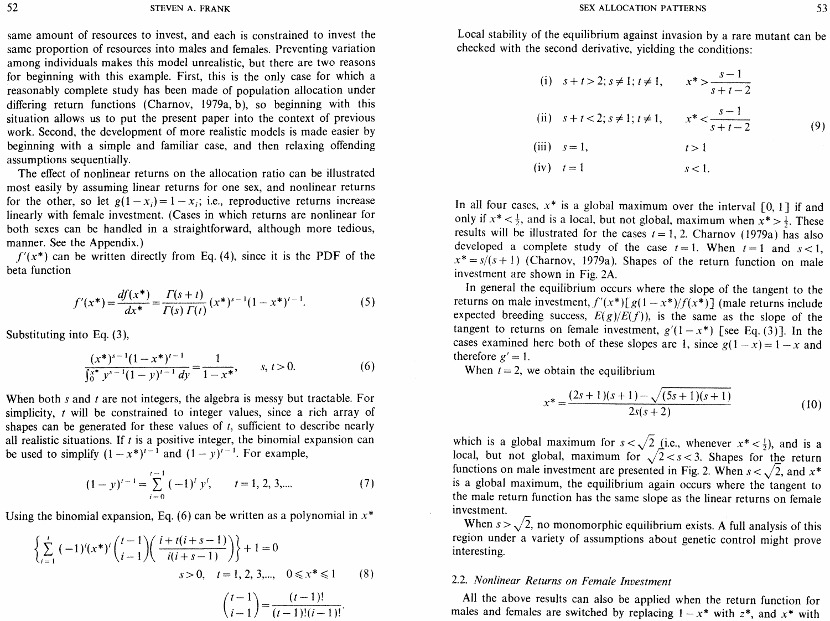same amount of resources to invest, and each is constrained to invest the same proportion of resources into males and females. Preventing variation among individuals makes this model unrealistic, but there are two reasons for beginning with this example. First, this is the only case for which a reasonably complete study has been made of population allocation under differing return functions (Charnov, 1979a, b), so beginning with this situation allows us to put the present paper into the context of previous work. Second, the development of more realistic models is made easier by beginning with a simple and familiar case, and then relaxing offending assumptions sequentially.

The effect of nonlinear returns on the allocation ratio can be illustrated most easily by assuming linear returns for one sex, and nonlinear returns for the other, so let  $g(1-x_i) = 1-x_i$ ; i.e., reproductive returns increase linearly with female investment. (Cases in which returns are nonlinear for both sexes can be handled in a straightforward, although more tedious, manner. See the Appendix.)

 $f'(x^*)$  can be written directly from Eq. (4), since it is the PDF of the beta function

$$
f'(x^*) = \frac{df(x^*)}{dx^*} = \frac{\Gamma(s+t)}{\Gamma(s)\,\Gamma(t)}\,(x^*)^{s-1}(1-x^*)^{t-1}.\tag{5}
$$

Substituting into Eq. (3),

$$
\frac{(x^*)^{s-1}(1-x^*)^{t-1}}{\int_0^{x^*} y^{s-1}(1-y)^{t-1} dy} = \frac{1}{1-x^*}, \qquad s, t > 0.
$$
 (6)

When both *s* and *t* are not integers, the algebra is messy but tractable. For simplicity, *t* will be constrained to integer values, since a rich array of shapes can be generated for these values of *t,* sufficient to describe nearly all realistic situations. If *t* is a positive integer, the binomial expansion can be used to simplify  $(1-x^*)^{t-1}$  and  $(1-y)^{t-1}$ . For example,

$$
(1-y)^{t-1} = \sum_{i=0}^{t-1} (-1)^i y^i, \qquad t = 1, 2, 3, \dots \tag{7}
$$

Using the binomial expansion, Eq. (6) can be written as a polynomial in  $x^*$ 

$$
\left\{\sum_{i=1}^{t} (-1)^{i} (x^{*})^{i} {t-1 \choose i-1} \left( \frac{i+t(i+s-1)}{i(i+s-1)} \right) \right\} + 1 = 0
$$
  
s > 0, t = 1, 2, 3,..., 0 \le x^{\*} \le 1 (8)  

$$
{t-1 \choose i-1} = \frac{(t-1)!}{(t-1)!(i-1)!}.
$$

Local stability of the equilibrium against invasion by a rare mutant can be checked with the second derivative, yielding the conditions:

(i) 
$$
s + t > 2; s \neq 1; t \neq 1
$$
,  $x^* > \frac{s-1}{s+t-2}$   
\n(ii)  $s + t < 2; s \neq 1; t \neq 1$ ,  $x^* < \frac{s-1}{s+t-2}$   
\n(iii)  $s = 1$ ,  $t > 1$   
\n(iv)  $t = 1$   $s < 1$ .

In all four cases,  $x^*$  is a global maximum over the interval  $[0, 1]$  if and only if  $x^* < \frac{1}{2}$ , and is a local, but not global, maximum when  $x^* > \frac{1}{2}$ . These results will be illustrated for the cases  $t = 1, 2$ . Charnov (1979a) has also developed a complete study of the case  $t=1$ . When  $t=1$  and  $s<1$ ,  $x^* = s/(s + 1)$  (Charnov, 1979a). Shapes of the return function on male investment are shown in Fig. 2A.

In general the equilibrium occurs where the slope of the tangent to the returns on male investment,  $f'(x^*)[g(1-x^*)/f(x^*)]$  (male returns include expected breeding success,  $E(g)/E(f)$ , is the same as the slope of the tangent to returns on female investment,  $g'(1 - x^*)$  [see Eq. (3)]. In the cases examined here both of these slopes are 1, since  $g(1-x) = 1-x$  and therefore  $g' = 1$ .

When  $t = 2$ , we obtain the equilibrium

$$
x^* = \frac{(2s+1)(s+1) - \sqrt{(5s+1)(s+1)}}{2s(s+2)}
$$
(10)

which is a global maximum for  $s < \sqrt{2}$  (i.e., whenever  $x^* < \frac{1}{2}$ ), and is a which is a global maximum for  $s < \sqrt{2}$  (i.e., whenever  $x^* < \frac{1}{2}$ ), and is a local, but not global, maximum for  $\sqrt{2} < s < 3$ . Shapes for the return functions on male investment are presented in Fig. 2. When  $s < \sqrt{2}$ , is a global maximum, the equilibrium again occurs where the tangent to the male return function has the same slope as the linear returns on female investment.

When  $s > \sqrt{2}$ , no monomorphic equilibrium exists. A full analysis of this region under a variety of assumptions about genetic control might prove interesting.

# 2.2. *Nonlinear Returns on Female Investment*

All the above results can also be applied when the return function for males and females are switched by replacing  $1 - x^*$  with  $z^*$ , and  $x^*$  with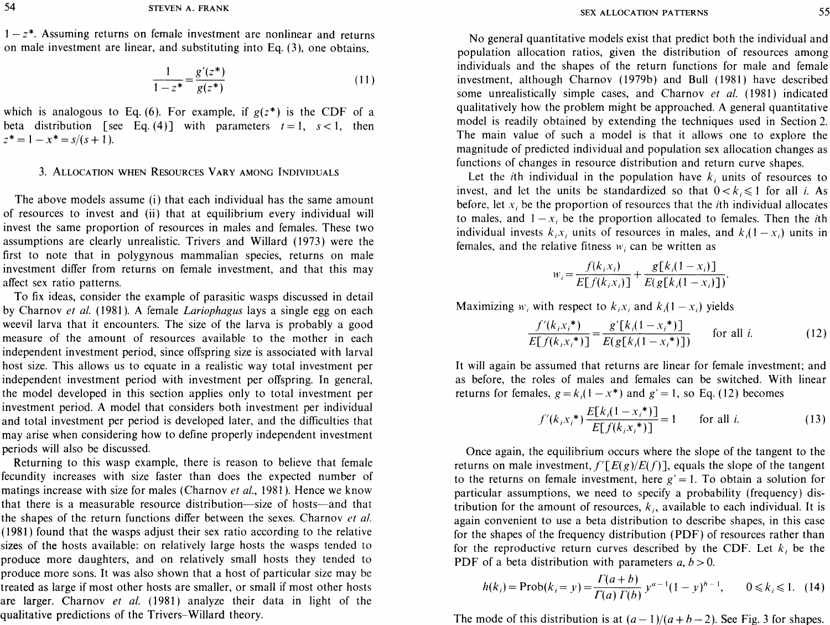$1-z^*$ . Assuming returns on female investment are nonlinear and returns on male investment are linear, and substituting into Eq. (3), one obtains,

$$
\frac{1}{1-z^*} = \frac{g'(z^*)}{g(z^*)}
$$
\n(11)

which is analogous to Eq. (6). For example, if  $g(z^*)$  is the CDF of a beta distribution [see Eq. (4)] with parameters  $t = 1$ ,  $s < 1$ , then  $z^* = 1 - x^* = s/(s + 1).$ 

#### 3. ALLOCATION WHEN RESOURCES VARY AMONG INDIVIDUALS

The above models assume (i) that each individual has the same amount of resources to invest and (ii) that at equilibrium every individual will invest the same proportion of resources in males and females. These two assumptions are clearly unrealistic. Trivers and Willard (1973) were the first to note that in polygynous mammalian species, returns on male investment differ from returns on female investment, and that this may affect sex ratio patterns.

To fix ideas, consider the example of parasitic wasps discussed in detail by Charnov *et al.* (1981). A female *Lariophagus* lays a single egg on each weevil larva that it encounters. The size of the larva is probably a good measure of the amount of resources available to the mother in each independent investment period, since offspring size is associated with larval host size. This allows us to equate in a realistic way total investment per independent investment period with investment per offspring. In general, the model developed in this section applies only to total investment per investment period. A model that considers both investment per individual and total investment per period is developed later, and the difficulties that may arise when considering how to define properly independent investment periods will also be discussed.

Returning to this wasp example, there is reason to believe that female fecundity increases with size faster than does the expected number of matings increase with size for males (Charnov *et al.,* 1981). Hence we know that there is a measurable resource distribution—size of hosts—and that the shapes of the return functions differ between the sexes. Charnov *et al.* (1981) found that the wasps adjust their sex ratio according to the relative sizes of the hosts available: on relatively large hosts the wasps tended to produce more daughters, and on relatively small hosts they tended to produce more sons. It was also shown that a host of particular size may be treated as large if most other hosts are smaller, or small if most other hosts are larger. Charnov *et al.* (1981) analyze their data in light of the qualitative predictions of the Trivers-Willard theory.

No general quantitative models exist that predict both the individual and population allocation ratios, given the distribution of resources among individuals and the shapes of the return functions for male and female investment, although Charnov (1979b) and Bull (1981) have described some unrealistically simple cases, and Charnov *et al.* (1981) indicated qualitatively how the problem might be approached. A general quantitative model is readily obtained by extending the techniques used in Section 2. The main value of such a model is that it allows one to explore the magnitude of predicted individual and population sex allocation changes as functions of changes in resource distribution and return curve shapes.

Let the *i*th individual in the population have  $k_i$  units of resources to invest, and let the units be standardized so that  $0 < k \leq 1$  for all i. As before, let  $x_i$  be the proportion of resources that the *i*th individual allocates to males, and  $1 - x_i$  be the proportion allocated to females. Then the *i*th individual invests  $k_i x_i$  units of resources in males, and  $k_i(1-x_i)$  units in females, and the relative fitness *w,* can be written as

$$
w_i = \frac{f(k_i x_i)}{E[f(k_i x_i)]} + \frac{g[k_i(1-x_i)]}{E(g[k_i(1-x_i)])}.
$$

Maximizing *w*, with respect to  $k_i x_i$  and  $k_i(1-x_i)$  yields

$$
\frac{f'(k_i x_i^*)}{E[f(k_i x_i^*)]} = \frac{g'[k_i(1 - x_i^*)]}{E(g[k_i(1 - x_i^*))} \quad \text{for all } i.
$$
 (12)

It will again be assumed that returns are linear for female investment; and as before, the roles of males and females can be switched. With linear returns for females,  $g = k/(1 - x^*)$  and  $g' = 1$ , so Eq. (12) becomes

$$
f'(k_i x_i^*) \frac{E[k_i(1 - x_i^*)]}{E[f(k_i x_i^*)]} = 1 \quad \text{for all } i.
$$
 (13)

Once again, the equilibrium occurs where the slope of the tangent to the returns on male investment,  $f'[E(g)/E(f)]$ , equals the slope of the tangent to the returns on female investment, here  $g' = 1$ . To obtain a solution for particular assumptions, we need to specify a probability (frequency) distribution for the amount of resources,  $k_i$ , available to each individual. It is again convenient to use a beta distribution to describe shapes, in this case for the shapes of the frequency distribution (PDF) of resources rather than for the reproductive return curves described by the CDF. Let  $k_i$ , be the PDF of a beta distribution with parameters  $a, b > 0$ .

$$
h(k_i) = \text{Prob}(k_i = y) = \frac{\Gamma(a+b)}{\Gamma(a)\,\Gamma(b)} \, y^{a-1} (1-y)^{b-1}, \qquad 0 \le k_i \le 1. \tag{14}
$$

The mode of this distribution is at  $(a-1)/(a+b-2)$ . See Fig. 3 for shapes.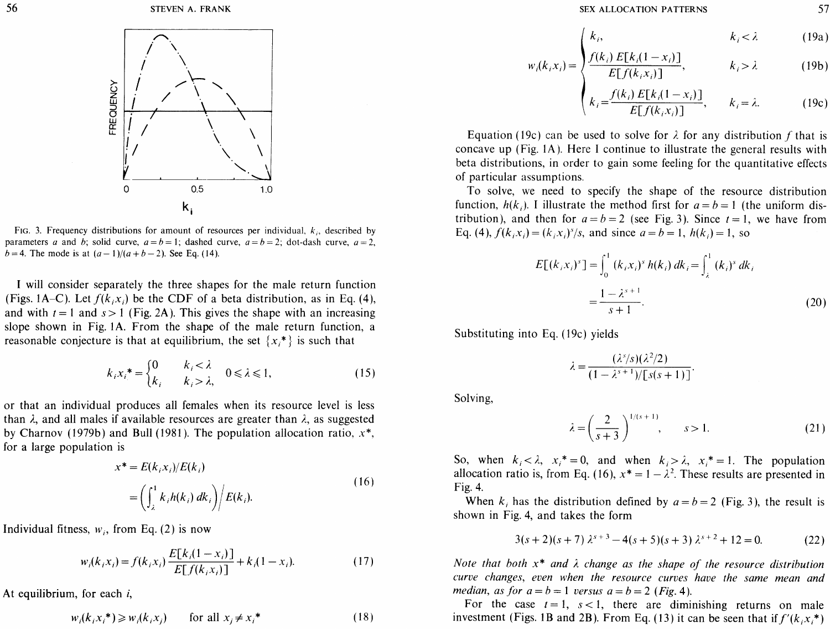FIG. 3. Frequency distributions for amount of resources per individual,  $k_i$ , described by parameters *a* and *b*; solid curve,  $a = b = 1$ ; dashed curve,  $a = b = 2$ ; dot-dash curve,  $a = 2$ , *b* = 4. The mode is at  $(a-1)/(a+b-2)$ . See Eq. (14).

I will consider separately the three shapes for the male return function (Figs. 1A–C). Let  $f(k, x_i)$  be the CDF of a beta distribution, as in Eq. (4), and with  $t = 1$  and  $s > 1$  (Fig. 2A). This gives the shape with an increasing slope shown in Fig. 1A. From the shape of the male return function, a reasonable conjecture is that at equilibrium, the set  $\{x_i^*\}$  is such that

$$
k_i x_i^* = \begin{cases} 0 & k_i < \lambda \\ k_i & k_i > \lambda, \end{cases} \quad 0 \le \lambda \le 1,
$$
 (15)

or that an individual produces all females when its resource level is less than  $\lambda$ , and all males if available resources are greater than  $\lambda$ , as suggested by Charnov (1979b) and Bull (1981). The population allocation ratio, *x\*,* for a large population is

$$
x^* = E(k_i x_i)/E(k_i)
$$
  
= 
$$
\left(\int_{\lambda}^{1} k_i h(k_i) dk_i\right)/E(k_i).
$$
 (16)

Individual fitness,  $w_i$ , from Eq. (2) is now

$$
w_i(k_i x_i) = f(k_i x_i) \frac{E[k_i(1-x_i)]}{E[f(k_i x_i)]} + k_i(1-x_i). \tag{17}
$$

At equilibrium, for each *i,*

$$
w_i(k_i x_i^*) \geq w_i(k_i x_j) \qquad \text{for all } x_j \neq x_i^* \tag{18}
$$

*57*

$$
\begin{cases}\nk_i, & k_i < \lambda \\
f(k_i) E[k_i(1-x_i)]\n\end{cases}
$$
\n(19a)

$$
w_i(k_ix_i) = \begin{cases} \frac{f(k_i) E[k_i(1 - x_i)]}{E[f(k_i x_i)]}, & k_i > \lambda \\ \end{cases}
$$
 (19b)

$$
\begin{cases} k_i = \frac{f(k_i) E[k_i(1-x_i)]}{E[f(k_i x_i)]}, & k_i = \lambda. \end{cases}
$$
 (19c)

Equation (19c) can be used to solve for  $\lambda$  for any distribution f that is concave up (Fig. 1A). Here I continue to illustrate the general results with beta distributions, in order to gain some feeling for the quantitative effects of particular assumptions.

To solve, we need to specify the shape of the resource distribution function,  $h(k_i)$ . I illustrate the method first for  $a = b = 1$  (the uniform distribution), and then for  $a = b = 2$  (see Fig. 3). Since  $t = 1$ , we have from Eq. (4),  $f(k_ix_i)=(k_ix_i)^s/s$ , and since  $a=b=1$ ,  $h(k_i)=1$ , so

$$
E[(k_i x_i)^s] = \int_0^1 (k_i x_i)^s h(k_i) dk_i = \int_{\lambda}^1 (k_i)^s dk_i
$$
  
= 
$$
\frac{1 - \lambda^{s+1}}{s+1}.
$$
 (20)

Substituting into Eq. (19c) yields

$$
\lambda = \frac{(\lambda^s/s)(\lambda^2/2)}{(1-\lambda^{s+1})/[s(s+1)]}.
$$

Solving,

$$
\lambda = \left(\frac{2}{s+3}\right)^{1/(s+1)}, \qquad s > 1.
$$
 (21)

So, when  $k_i < \lambda$ ,  $x_i^* = 0$ , and when  $k_i > \lambda$ ,  $x_i^* = 1$ . The population allocation ratio is, from Eq. (16),  $x^* = 1 - \lambda^2$ . These results are presented in Fig. 4.

When  $k_i$  has the distribution defined by  $a = b = 2$  (Fig. 3), the result is shown in Fig. 4, and takes the form

$$
3(s+2)(s+7)\lambda^{s+3}-4(s+5)(s+3)\lambda^{s+2}+12=0.
$$
 (22)

*Note that both*  $x^*$  *and*  $\lambda$  *change as the shape of the resource distribution curve changes, even when the resource curves have the same mean and median, as for*  $a = b = 1$  *versus*  $a = b = 2$  *(Fig. 4).* 

For the case  $t = 1$ ,  $s < 1$ , there are diminishing returns on male investment (Figs. 1B and 2B). From Eq. (13) it can be seen that if  $f'(k,x^*)$ 

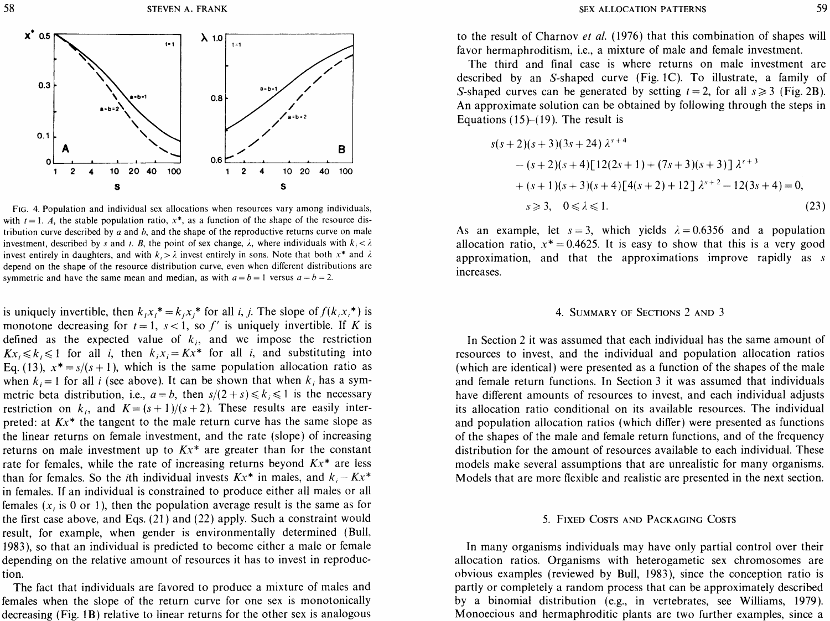

FIG. 4. Population and individual sex allocations when resources vary among individuals, with  $t = 1$ . *A*, the stable population ratio,  $x^*$ , as a function of the shape of the resource distribution curve described by *a* and *b,* and the shape of the reproductive returns curve on male investment, described by *s* and *t. B*, the point of sex change,  $\lambda$ , where individuals with  $k \geq \lambda$ invest entirely in daughters, and with  $k_i > \lambda$  invest entirely in sons. Note that both  $x^*$  and  $\lambda$ depend on the shape of the resource distribution curve, even when different distributions are symmetric and have the same mean and median, as with  $a = b = 1$  versus  $a = b = 2$ .

is uniquely invertible, then  $k_i x_i^* = k_i x_i^*$  for all *i*, *j*. The slope of  $f(k_i x_i^*)$  is monotone decreasing for  $t = 1$ ,  $s < 1$ , so f' is uniquely invertible. If K is defined as the expected value of  $k_i$ , and we impose the restriction  $Kx_i \le k_i \le 1$  for all *i*, then  $k_i x_i = Kx^*$  for all *i*, and substituting into Eq. (13),  $x^* = s/(s + 1)$ , which is the same population allocation ratio as when  $k_i = 1$  for all *i* (see above). It can be shown that when  $k_i$  has a symmetric beta distribution, i.e.,  $a = b$ , then  $s/(2 + s) \le k_i \le 1$  is the necessary restriction on  $k_i$ , and  $K = (s + 1)/(s + 2)$ . These results are easily interpreted: at *Kx\** the tangent to the male return curve has the same slope as the linear returns on female investment, and the rate (slope) of increasing returns on male investment up to  $Kx^*$  are greater than for the constant rate for females, while the rate of increasing returns beyond  $Kx^*$  are less than for females. So the *i*th individual invests  $Kx^*$  in males, and  $k_i - Kx^*$ in females. If an individual is constrained to produce either all males or all females  $(x_i)$  is 0 or 1), then the population average result is the same as for the first case above, and Eqs. (21) and (22) apply. Such a constraint would result, for example, when gender is environmentally determined (Bull, 1983), so that an individual is predicted to become either a male or female depending on the relative amount of resources it has to invest in reproduction.

The fact that individuals are favored to produce a mixture of males and females when the slope of the return curve for one sex is monotonically decreasing (Fig. 1B) relative to linear returns for the other sex is analogous

The third and final case is where returns on male investment are described by an S-shaped curve (Fig. 1C). To illustrate, a family of S-shaped curves can be generated by setting  $t = 2$ , for all  $s \ge 3$  (Fig. 2B). An approximate solution can be obtained by following through the steps in Equations  $(15)$ – $(19)$ . The result is

$$
s(s+2)(s+3)(3s+24) \lambda^{s+4}
$$
  
-(s+2)(s+4)[12(2s+1)+(7s+3)(s+3)] \lambda^{s+3}  
+(s+1)(s+3)(s+4)[4(s+2)+12] \lambda^{s+2}-12(3s+4)=0,  
s \ge 3, 0 \le \lambda \le 1. (23)

As an example, let  $s = 3$ , which yields  $\lambda = 0.6356$  and a population allocation ratio,  $x^* = 0.4625$ . It is easy to show that this is a very good approximation, and that the approximations improve rapidly as *s* increases.

## 4. SUMMARY OF SECTIONS 2 AND <sup>3</sup>

In Section 2 it was assumed that each individual has the same amount of resources to invest, and the individual and population allocation ratios (which are identical) were presented as a function of the shapes of the male and female return functions. In Section 3 it was assumed that individuals have different amounts of resources to invest, and each individual adjusts its allocation ratio conditional on its available resources. The individual and population allocation ratios (which differ) were presented as functions of the shapes of the male and female return functions, and of the frequency distribution for the amount of resources available to each individual. These models make several assumptions that are unrealistic for many organisms. Models that are more flexible and realistic are presented in the next section.

#### 5. FIXED COSTS AND PACKAGING COSTS

In many organisms individuals may have only partial control over their allocation ratios. Organisms with heterogametic sex chromosomes are obvious examples (reviewed by Bull, 1983), since the conception ratio is partly or completely a random process that can be approximately described by a binomial distribution (e.g., in vertebrates, see Williams, 1979). Monoecious and hermaphroditic plants are two further examples, since a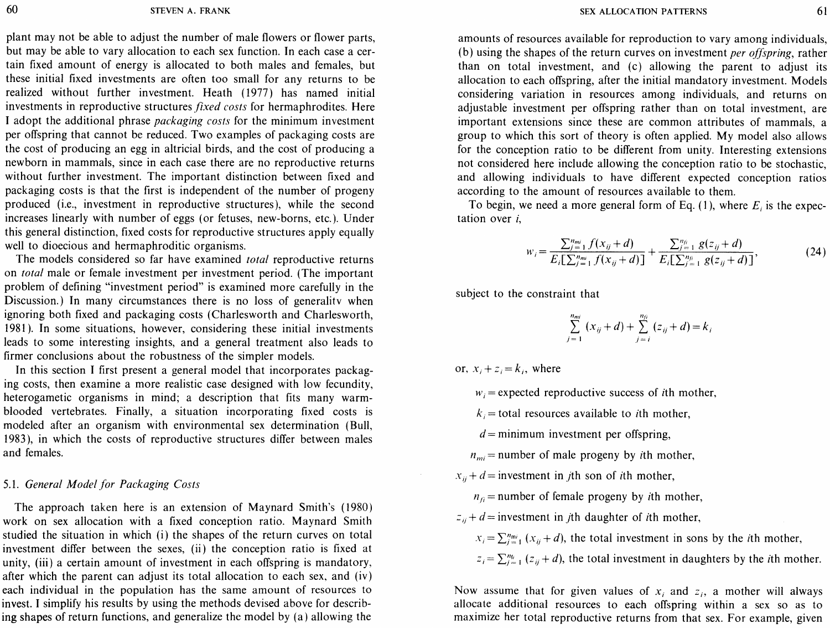plant may not be able to adjust the number of male flowers or flower parts, but may be able to vary allocation to each sex function. In each case a certain fixed amount of energy is allocated to both males and females, but these initial fixed investments are often too small for any returns to be realized without further investment. Heath (1977) has named initial investments in reproductive structures *fixed costs* for hermaphrodites. Here I adopt the additional phrase *packaging costs* for the minimum investment per offspring that cannot be reduced. Two examples of packaging costs are the cost of producing an egg in altricial birds, and the cost of producing a newborn in mammals, since in each case there are no reproductive returns without further investment. The important distinction between fixed and packaging costs is that the first is independent of the number of progeny produced (i.e., investment in reproductive structures), while the second increases linearly with number of eggs (or fetuses, new-borns, etc.). Under this general distinction, fixed costs for reproductive structures apply equally well to dioecious and hermaphroditic organisms.

The models considered so far have examined *total* reproductive returns on *total* male or female investment per investment period. (The important problem of defining "investment period" is examined more carefully in the Discussion.) In many circumstances there is no loss of generality when ignoring both fixed and packaging costs (Charlesworth and Charlesworth, 1981). In some situations, however, considering these initial investments leads to some interesting insights, and a general treatment also leads to firmer conclusions about the robustness of the simpler models.

In this section I first present a general model that incorporates packaging costs, then examine a more realistic case designed with low fecundity, heterogametic organisms in mind; a description that fits many warmblooded vertebrates. Finally, a situation incorporating fixed costs is modeled after an organism with environmental sex determination (Bull, 1983), in which the costs of reproductive structures differ between males and females.

### 5.1. *General Model for Packaging Costs*

The approach taken here is an extension of Maynard Smith's (1980) work on sex allocation with a fixed conception ratio. Maynard Smith studied the situation in which (i) the shapes of the return curves on total investment differ between the sexes, (ii) the conception ratio is fixed at unity, (iii) a certain amount of investment in each offspring is mandatory, after which the parent can adjust its total allocation to each sex, and (iv) each individual in the population has the same amount of resources to invest. I simplify his results by using the methods devised above for describing shapes of return functions, and generalize the model by (a) allowing the

amounts of resources available for reproduction to vary among individuals, (b) using the shapes of the return curves on investment *per offspring,* rather than on total investment, and (c) allowing the parent to adjust its allocation to each offspring, after the initial mandatory investment. Models considering variation in resources among individuals, and returns on adjustable investment per offspring rather than on total investment, are important extensions since these are common attributes of mammals, a group to which this sort of theory is often applied. My model also allows for the conception ratio to be different from unity. Interesting extensions not considered here include allowing the conception ratio to be stochastic, and allowing individuals to have different expected conception ratios according to the amount of resources available to them.

To begin, we need a more general form of Eq. (1), where *E,* is the expectation over *i,*

$$
w_i = \frac{\sum_{j=1}^{n_{mi}} f(x_{ij} + d)}{E_i[\sum_{j=1}^{n_{mi}} f(x_{ij} + d)]} + \frac{\sum_{j=1}^{n_i} g(z_{ij} + d)}{E_i[\sum_{j=1}^{n_{li}} g(z_{ij} + d)]},
$$
(24)

subject to the constraint that

$$
\sum_{j=1}^{n_{mi}} (x_{ij} + d) + \sum_{j=i}^{n_{fi}} (z_{ij} + d) = k_i
$$

or,  $x_i + z_j = k_i$ , where

 $w_i$  = expected reproductive success of *i*th mother,

 $k_i$  = total resources available to *i*th mother,

*d=* minimum investment per offspring,

 $n_{mi}$  = number of male progeny by *i*th mother,

 $x_{ii} + d$  = investment in *j*th son of *i*th mother,

 $n_{\hat{u}}$  = number of female progeny by *i*th mother,

 $z_{ii} + d$  = investment in *j*th daughter of *i*th mother,

 $x_i = \sum_{i=1}^{n_{\text{min}}} (x_{ii} + d)$ , the total investment in sons by the *i*th mother,

 $z_i = \sum_{j=1}^{n_b} (z_{ij} + d)$ , the total investment in daughters by the *i*th mother.

Now assume that for given values of  $x_i$  and  $z_i$ , a mother will always allocate additional resources to each offspring within a sex so as to maximize her total reproductive returns from that sex. For example, given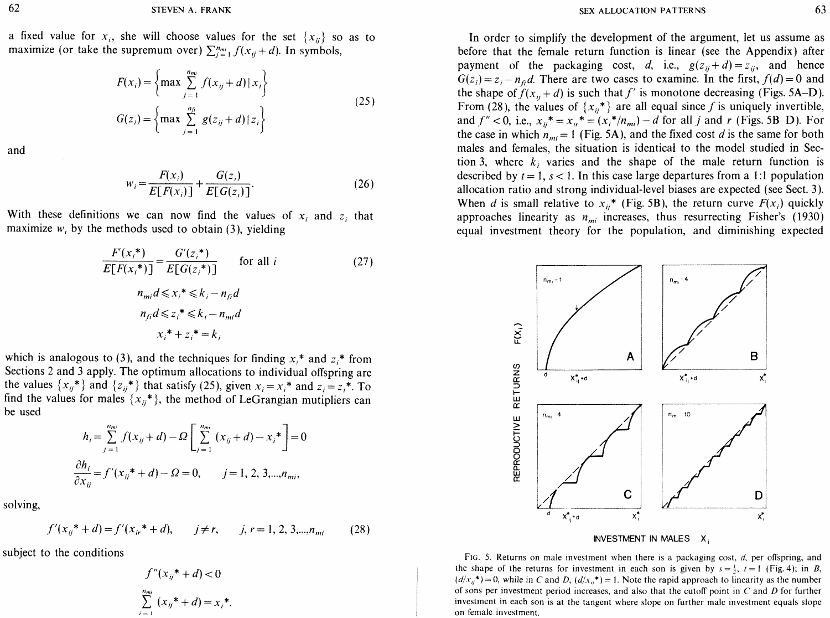a fixed value for  $x_i$ , she will choose values for the set  $\{x_{ii}\}\$  so as to maximize (or take the supremum over)  $\sum_{j=1}^{n_{mi}} f(x_{ij} + d)$ . In symbols,

$$
F(x_i) = \left\{ \max \sum_{j=1}^{n_{mi}} f(x_{ij} + d) | x_i \right\}
$$
  
\n
$$
G(z_i) = \left\{ \max \sum_{j=1}^{n_{li}} g(z_{ij} + d) | z_i \right\}
$$
\n(25)

and

$$
w_i = \frac{F(x_i)}{E[F(x_i)]} + \frac{G(z_i)}{E[G(z_i)]}.
$$
 (26)

With these definitions we can now find the values of  $x_i$  and  $z_i$  that maximize  $w_i$  by the methods used to obtain (3), yielding

$$
\frac{F'(x_i^*)}{E[F(x_i^*)]} = \frac{G'(z_i^*)}{E[G(z_i^*)]} \quad \text{for all } i
$$
\n
$$
n_{mi}d \le x_i^* \le k_i - n_{fi}d
$$
\n
$$
n_{fi}d \le z_i^* \le k_i - n_{mi}d
$$
\n
$$
x_i^* + z_i^* = k_i
$$
\n(27)

which is analogous to (3), and the techniques for finding  $x_i^*$  and  $z_i^*$  from Sections 2 and 3 apply. The optimum allocations to individual offspring are the values  $\{x_{ij}^*\}$  and  $\{z_{ij}^*\}$  that satisfy (25), given  $x_i = x_i^*$  and  $z_i = z_i^*$ . To find the values for males  $\{x_{ij}^*\}$ , the method of LeGrangian mutipliers can be used

$$
h_i = \sum_{j=1}^{n_{mi}} f(x_{ij} + d) - \Omega \left[ \sum_{j=1}^{n_{mi}} (x_{ij} + d) - x_i^* \right] = 0
$$
  

$$
\frac{\partial h_i}{\partial x_{ij}} = f'(x_{ij}^* + d) - \Omega = 0, \qquad j = 1, 2, 3, \dots, n_{mi},
$$

solving,

$$
f'(x_{ij}^* + d) = f'(x_{ir}^* + d), \qquad j \neq r, \qquad j, r = 1, 2, 3, \dots, n_{mi} \tag{28}
$$

subject to the conditions

$$
f''(x_{ij}^* + d) < 0
$$
  

$$
\sum_{i=1}^{n_{mi}} (x_{ij}^* + d) = x_i^*
$$

In order to simplify the development of the argument, let us assume as before that the female return function is linear (see the Appendix) after payment of the packaging cost, *d*, i.e.,  $g(z_{ij} + d) = z_{ij}$ , and hence  $G(z_i) = z_i - n_{fi}d$ . There are two cases to examine. In the first,  $f(d) = 0$  and the shape of  $f(x_{ij} + d)$  is such that  $f'$  is monotone decreasing (Figs. 5A–D). From (28), the values of  $\{x_{ij}^*\}$  are all equal since f is uniquely invertible, and  $f'' < 0$ , i.e.,  $x_{ii}^* = x_{i}^* = (x_i^* / n_{mi}) - d$  for all *j* and *r* (Figs. 5B-D). For the case in which  $n_{mi} = 1$  (Fig. 5A), and the fixed cost *d* is the same for both males and females, the situation is identical to the model studied in Section 3, where  $k_i$ , varies and the shape of the male return function is described by  $t = 1$ ,  $s < 1$ . In this case large departures from a 1:1 population allocation ratio and strong individual-level biases are expected (see Sect. 3). When *d* is small relative to  $x_{ij}$ <sup>\*</sup> (Fig. 5B), the return curve  $F(x_i)$  quickly approaches linearity as  $n_{mi}$  increases, thus resurrecting Fisher's (1930) equal investment theory for the population, and diminishing expected



#### INVESTMENT IN MALES X,

FIG. 5. Returns on male investment when there is a packaging cost, *d,* per offspring, and the shape of the returns for investment in each son is given by  $s=\frac{1}{2}$ ,  $t=1$  (Fig. 4); in *B*,  $(d/x_{ij}^*)=0$ , while in C and D,  $(d/x_{ij}^*)=1$ . Note the rapid approach to linearity as the number of sons per investment period increases, and also that the cutoff point in *C* and *D* for further investment in each son is at the tangent where slope on further male investment equals slope on female investment.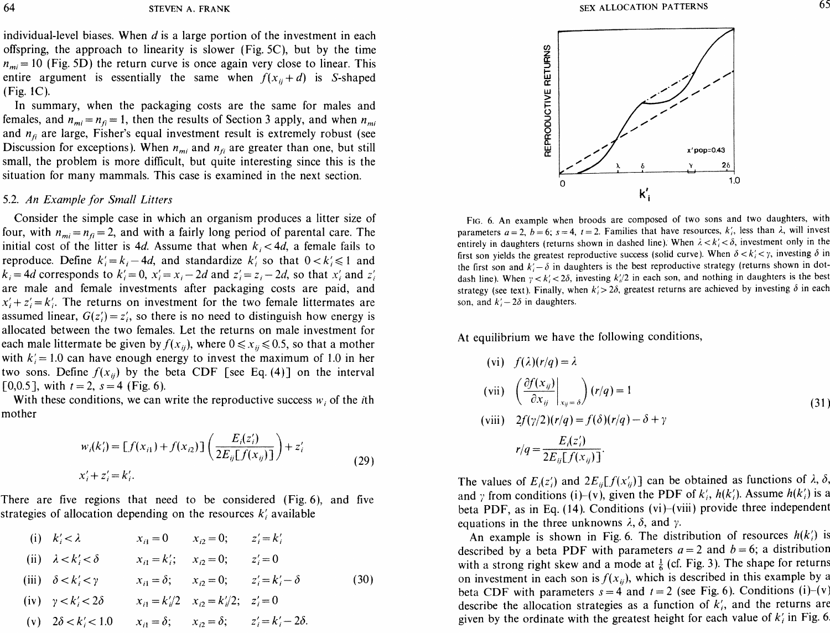individual-level biases. When *d* is a large portion of the investment in each offspring, the approach to linearity is slower (Fig. 5C), but by the time  $n_{mi} = 10$  (Fig. 5D) the return curve is once again very close to linear. This entire argument is essentially the same when  $f(x_{ii} + d)$  is S-shaped (Fig. 1C).

In summary, when the packaging costs are the same for males and females, and  $n_{mi} = n_f = 1$ , then the results of Section 3 apply, and when  $n_{mi}$ and  $n_f$  are large, Fisher's equal investment result is extremely robust (see Discussion for exceptions). When  $n_{mi}$  and  $n_{fi}$  are greater than one, but still small, the problem is more difficult, but quite interesting since this is the situation for many mammals. This case is examined in the next section.

#### 5.2. *An Example for Small Litters*

Consider the simple case in which an organism produces a litter size of four, with  $n_{mi} = n_f = 2$ , and with a fairly long period of parental care. The initial cost of the litter is 4*d*. Assume that when  $k_i < 4d$ , a female fails to reproduce. Define  $k' = k_1 - 4d$ , and standardize  $k'$  so that  $0 < k' \le 1$  and  $k_i = 4d$  corresponds to  $k'_i = 0$ ,  $x'_i = x_i - 2d$  and  $z'_i = z_i - 2d$ , so that  $x'_i$  and  $z'_i$ are male and female investments after packaging costs are paid, and  $x'_i + z'_i = k'_i$ . The returns on investment for the two female littermates are assumed linear,  $G(z_i) = z_i'$ , so there is no need to distinguish how energy is allocated between the two females. Let the returns on male investment for each male littermate be given by  $f(x_{ii})$ , where  $0 \le x_{ii} \le 0.5$ , so that a mother with  $k' = 1.0$  can have enough energy to invest the maximum of 1.0 in her two sons. Define  $f(x_{ii})$  by the beta CDF [see Eq. (4)] on the interval  $[0,0.5]$ , with  $t = 2$ ,  $s = 4$  (Fig. 6).

With these conditions, we can write the reproductive success  $w_i$  of the *i*th mother

$$
w_i(k_i') = [f(x_{i1}) + f(x_{i2})] \left( \frac{E_i(z_i')}{2E_{ij}[f(x_{ij})]} \right) + z_i'
$$
  

$$
x_i' + z_i' = k_i'.
$$
 (29)

There are five regions that need to be considered (Fig. 6), and five strategies of allocation depending on the resources *k;* available

(i) 
$$
k'_i < \lambda
$$
  $x_n = 0$   $x_2 = 0$ ;  $z'_i = k'_i$   
\n(ii)  $\lambda < k'_i < \delta$   $x_n = k'_i$ ;  $x_2 = 0$ ;  $z'_i = 0$   
\n(iii)  $\delta < k'_i < \gamma$   $x_n = \delta$ ;  $x_2 = 0$ ;  $z'_i = k'_i - \delta$  (30)  
\n(iv)  $\gamma < k'_i < 2\delta$   $x_n = k'_i/2$   $x_2 = k'_i/2$ ;  $z'_i = 0$   
\n(v)  $2\delta < k'_i < 1.0$   $x_n = \delta$ ;  $x_n = \delta$ ;  $z'_i = k'_i - 2\delta$ .



FIG. 6. An example when broods are composed of two sons and two daughters, with parameters  $a = 2$ ,  $b = 6$ ;  $s = 4$ ,  $t = 2$ . Families that have resources,  $k'_i$ , less than  $\lambda$ , will invest entirely in daughters (returns shown in dashed line). When  $\lambda < k'_i < \delta$ , investment only in the first son yields the greatest reproductive success (solid curve). When  $\delta < k'_i < \gamma$ , investing  $\delta$  in the first son and  $k_i - \delta$  in daughters is the best reproductive strategy (returns shown in dotdash line). When  $\gamma < k'_i < 2\delta$ , investing  $k'_i/2$  in each son, and nothing in daughters is the best strategy (see text). Finally, when  $k_i > 2\delta$ , greatest returns are achieved by investing  $\delta$  in each son, and  $k'$ –2 $\delta$  in daughters.

At equilibrium we have the following conditions,

(vi) 
$$
f(\lambda)(r/q) = \lambda
$$
  
\n(vii)  $\left(\frac{\partial f(x_{ij})}{\partial x_{ij}}\Big|_{x_{ij}=\delta}\right)(r/q) = 1$   
\n(viii)  $2f(\gamma/2)(r/q) = f(\delta)(r/q) - \delta + \gamma$   
\n
$$
r/q = \frac{E_i(z_i')}{2E_{ij}[f(x_{ij})]}.
$$
\n(31)

The values of  $E_i(z_i)$  and  $2E_{ii}[f(x_i)]$  can be obtained as functions of  $\lambda$ ,  $\delta$ , and  $\gamma$  from conditions (i)-(v), given the PDF of  $k'_i$ ,  $h(k'_i)$ . Assume  $h(k'_i)$  is a beta PDF, as in Eq. (14). Conditions (vi)-(viii) provide three independent equations in the three unknowns  $\lambda$ ,  $\delta$ , and  $\gamma$ .

An example is shown in Fig. 6. The distribution of resources  $h(k)$  is described by a beta PDF with parameters  $a = 2$  and  $b = 6$ ; a distribution with a strong right skew and a mode at  $\frac{1}{6}$  (cf. Fig. 3). The shape for returns on investment in each son is  $f(x_{ij})$ , which is described in this example by a beta CDF with parameters  $s = 4$  and  $t = 2$  (see Fig. 6). Conditions (i)-(v) describe the allocation strategies as a function of  $k'$ , and the returns are given by the ordinate with the greatest height for each value of *k;* in Fig. 6.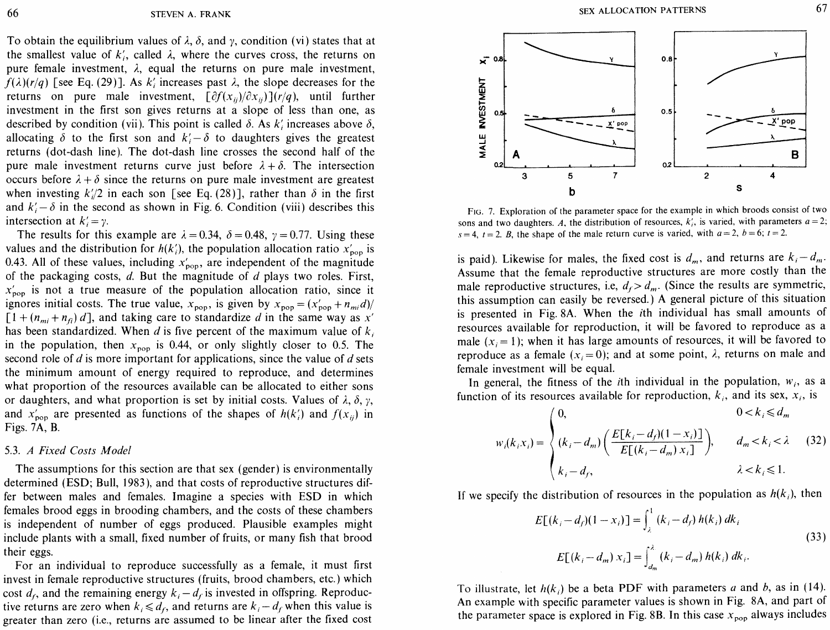To obtain the equilibrium values of  $\lambda$ ,  $\delta$ , and  $\gamma$ , condition (vi) states that at the smallest value of  $k'_i$ , called  $\lambda$ , where the curves cross, the returns on pure female investment,  $\lambda$ , equal the returns on pure male investment,  $f(\lambda)(r/q)$  [see Eq. (29)]. As  $k'_i$  increases past  $\lambda$ , the slope decreases for the returns on pure male investment,  $[\partial f(x_{ii})/\partial x_{ii})](r/q)$ , until further investment in the first son gives returns at a slope of less than one, as described by condition (vii). This point is called  $\delta$ . As  $k'_i$  increases above  $\delta$ , allocating  $\delta$  to the first son and  $k'_{i} - \delta$  to daughters gives the greatest returns (dot-dash line). The dot-dash line crosses the second half of the pure male investment returns curve just before  $\lambda + \delta$ . The intersection occurs before  $\lambda + \delta$  since the returns on pure male investment are greatest when investing  $k/2$  in each son [see Eq. (28)], rather than  $\delta$  in the first and  $k'_{i} - \delta$  in the second as shown in Fig. 6. Condition (viii) describes this intersection at  $k' = \gamma$ .

The results for this example are  $\lambda = 0.34$ ,  $\delta = 0.48$ ,  $\gamma = 0.77$ . Using these values and the distribution for  $h(k_i)$ , the population allocation ratio  $x'_{\text{pop}}$  is 0.43. All of these values, including  $x'_{\text{pop}}$ , are independent of the magnitude of the packaging costs, *d.* But the magnitude of *d* plays two roles. First,  $x'_{\text{pop}}$  is not a true measure of the population allocation ratio, since it ignores initial costs. The true value,  $x_{pop}$ , is given by  $x_{pop} = (x'_{pop} + n_{mi}d)/n$  $[1 + (n_{mi} + n_{fi})d]$ , and taking care to standardize *d* in the same way as x' has been standardized. When *d* is five percent of the maximum value of *k,* in the population, then  $x_{pop}$  is 0.44, or only slightly closer to 0.5. The second role of *d* is more important for applications, since the value of *d* sets the minimum amount of energy required to reproduce, and determines what proportion of the resources available can be allocated to either sons or daughters, and what proportion is set by initial costs. Values of  $\lambda$ ,  $\delta$ ,  $\gamma$ , and  $x'_{\text{pop}}$  are presented as functions of the shapes of  $h(k'_i)$  and  $f(x_{ij})$  in Figs. 7A, B.

#### 5.3. *A Fixed Costs Model*

The assumptions for this section are that sex (gender) is environmentally determined (ESD; Bull, 1983), and that costs of reproductive structures differ between males and females. Imagine a species with ESD in which females brood eggs in brooding chambers, and the costs of these chambers is independent of number of eggs produced. Plausible examples might include plants with a small, fixed number of fruits, or many fish that brood their eggs.

For an individual to reproduce successfully as a female, it must first invest in female reproductive structures (fruits, brood chambers, etc.) which cost  $d_f$ , and the remaining energy  $k_i - d_f$  is invested in offspring. Reproductive returns are zero when  $k_i \leq d_f$ , and returns are  $k_i - d_f$  when this value is greater than zero (i.e., returns are assumed to be linear after the fixed cost



FIG. 7. Exploration of the parameter space for the example in which broods consist of two sons and two daughters. *A*, the distribution of resources,  $k'$ , is varied, with parameters  $a = 2$ ;  $s = 4$ ,  $t = 2$ . *B*, the shape of the male return curve is varied, with  $a = 2$ ,  $b = 6$ ;  $t = 2$ .

is paid). Likewise for males, the fixed cost is  $d_m$ , and returns are  $k_i - d_m$ . Assume that the female reproductive structures are more costly than the male reproductive structures, i.e.,  $d_f > d_m$ . (Since the results are symmetric, this assumption can easily be reversed.) A general picture of this situation is presented in Fig. 8A. When the ith individual has small amounts of resources available for reproduction, it will be favored to reproduce as a male  $(x<sub>i</sub> = 1)$ ; when it has large amounts of resources, it will be favored to reproduce as a female  $(x_i = 0)$ ; and at some point,  $\lambda$ , returns on male and female investment will be equal.

In general, the fitness of the *i*th individual in the population,  $w_i$ , as a function of its resources available for reproduction,  $k_i$ , and its sex,  $x_i$ , is

$$
w_i(k_i x_i) = \begin{cases} 0, & 0 < k_i \le d_m \\ (k_i - d_m) \left( \frac{E[k_i - d_f)(1 - x_i)}{E[(k_i - d_m) x_i]} \right), & d_m < k_i < \lambda \\ k_i - d_f, & \lambda < k_i \le 1. \end{cases}
$$
(32)

If we specify the distribution of resources in the population as 
$$
h(k_i)
$$
, then  
\n
$$
E[(k_i - d_f)(1 - x_i)] = \int_{\lambda}^{1} (k_i - d_f) h(k_i) dk_i
$$
\n(33)  
\n
$$
E[(k_i - d_m) x_i] = \int_{d_m}^{\lambda} (k_i - d_m) h(k_i) dk_i.
$$

To illustrate, let  $h(k_i)$  be a beta PDF with parameters *a* and *b*, as in (14). An example with specific parameter values is shown in Fig. 8A, and part of the parameter space is explored in Fig. 8B. In this case  $x_{\text{pop}}$  always includes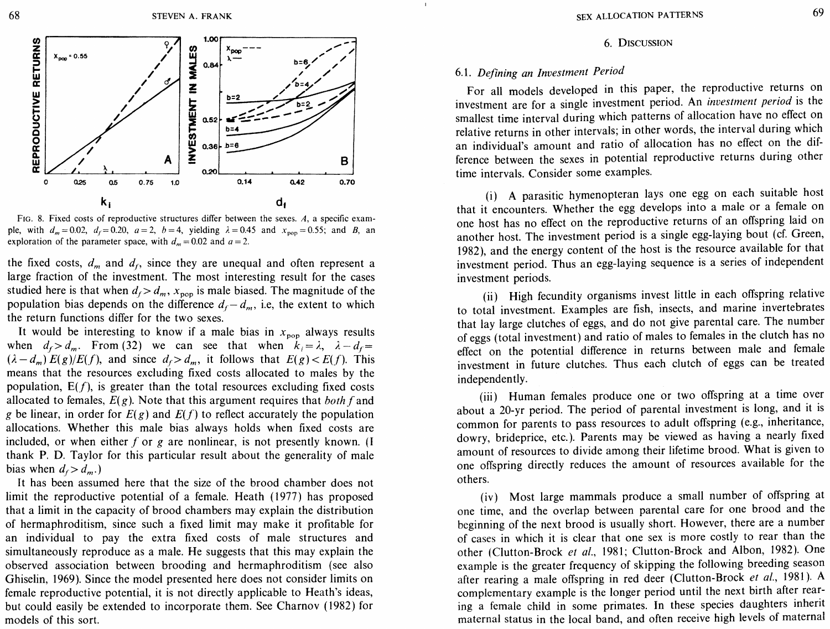

FIG. 8. Fixed costs of reproductive structures differ between the sexes. *A,* a specific example, with  $d_m = 0.02$ ,  $d_f = 0.20$ ,  $a = 2$ ,  $b = 4$ , yielding  $\lambda = 0.45$  and  $x_{pop} = 0.55$ ; and *B*, an exploration of the parameter space, with  $d_m = 0.02$  and  $a = 2$ .

the fixed costs,  $d_m$  and  $d_f$ , since they are unequal and often represent a large fraction of the investment. The most interesting result for the cases studied here is that when  $d_f > d_m$ ,  $x_{\text{pop}}$  is male biased. The magnitude of the population bias depends on the difference  $d_f - d_m$ , i.e, the extent to which the return functions differ for the two sexes.

It would be interesting to know if a male bias in  $x_{\text{pop}}$  always results when  $d_f > d_m$ . From (32) we can see that when  $k_i = \lambda$ ,  $\lambda - d_f =$  $(\lambda - d_m) E(g)/E(f)$ , and since  $d_f > d_m$ , it follows that  $E(g) < E(f)$ . This means that the resources excluding fixed costs allocated to males by the population,  $E(f)$ , is greater than the total resources excluding fixed costs allocated to females,  $E(g)$ . Note that this argument requires that *both f* and *g* be linear, in order for  $E(g)$  and  $E(f)$  to reflect accurately the population allocations. Whether this male bias always holds when fixed costs are included, or when either *f* or *g* are nonlinear, is not presently known. (I thank **P. D.** Taylor for this particular result about the generality of male bias when  $d_f > d_m$ .)

It has been assumed here that the size of the brood chamber does not limit the reproductive potential of a female. Heath (1977) has proposed that a limit in the capacity of brood chambers may explain the distribution of hermaphroditism, since such a fixed limit may make it profitable for an individual to pay the extra fixed costs of male structures and simultaneously reproduce as a male. He suggests that this may explain the observed association between brooding and hermaphroditism (see also Ghiselin, 1969). Since the model presented here does not consider limits on female reproductive potential, it is not directly applicable to Heath's ideas, but could easily be extended to incorporate them. See Charnov (1982) for models of this sort.

#### 6. DISCUSSION

# 6.1. *Defining an Investment Period*

For all models developed in this paper, the reproductive returns on investment are for a single investment period. An *investment period* is the smallest time interval during which patterns of allocation have no effect on relative returns in other intervals; in other words, the interval during which an individual's amount and ratio of allocation has no effect on the difference between the sexes in potential reproductive returns during other time intervals. Consider some examples.

(i) A parasitic hymenopteran lays one egg on each suitable host that it encounters. Whether the egg develops into a male or a female on one host has no effect on the reproductive returns of an offspring laid on another host. The investment period is a single egg-laying bout (cf. Green, 1982), and the energy content of the host is the resource available for that investment period. Thus an egg-laying sequence is a series of independent investment periods.

(ii) High fecundity organisms invest little in each offspring relative to total investment. Examples are fish, insects, and marine invertebrates that lay large clutches of eggs, and do not give parental care. The number of eggs (total investment) and ratio of males to females in the clutch has no effect on the potential difference in returns between male and female investment in future clutches. Thus each clutch of eggs can be treated independently.

(iii) Human females produce one or two offspring at a time over about a 20-yr period. The period of parental investment is long, and it is common for parents to pass resources to adult offspring (e.g., inheritance, dowry, brideprice, etc.). Parents may be viewed as having a nearly fixed amount of resources to divide among their lifetime brood. What is given to one offspring directly reduces the amount of resources available for the others.

(iv) Most large mammals produce a small number of offspring at one time, and the overlap between parental care for one brood and the beginning of the next brood is usually short. However, there are a number of cases in which it is clear that one sex is more costly to rear than the other (Clutton-Brock *et al.,* 1981; Clutton-Brock and Albon, 1982). One example is the greater frequency of skipping the following breeding season after rearing a male offspring in red deer (Clutton-Brock *et al.,* 1981). A complementary example is the longer period until the next birth after rearing a female child in some primates. In these species daughters inherit maternal status in the local band, and often receive high levels of maternal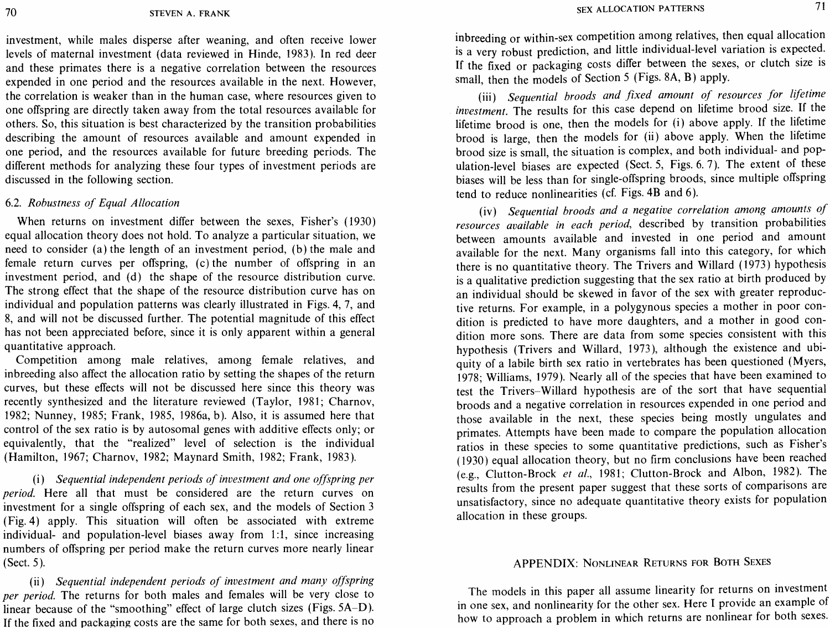investment, while males disperse after weaning, and often receive lower levels of maternal investment (data reviewed in Hinde, 1983). In red deer and these primates there is a negative correlation between the resources expended in one period and the resources available in the next. However, the correlation is weaker than in the human case, where resources given to one offspring are directly taken away from the total resources available for others. So, this situation is best characterized by the transition probabilities describing the amount of resources available and amount expended in one period, and the resources available for future breeding periods. The different methods for analyzing these four types of investment periods are discussed in the following section.

## 6.2. *Robustness of Equal Allocation*

When returns on investment differ between the sexes, Fisher's (1930) equal allocation theory does not hold. To analyze a particular situation, we need to consider (a) the length of an investment period, (b) the male and female return curves per offspring, (c) the number of offspring in an investment period, and (d) the shape of the resource distribution curve. The strong effect that the shape of the resource distribution curve has on individual and population patterns was clearly illustrated in Figs. 4, 7, and 8, and will not be discussed further. The potential magnitude of this effect has not been appreciated before, since it is only apparent within a general quantitative approach.

Competition among male relatives, among female relatives, and inbreeding also affect the allocation ratio by setting the shapes of the return curves, but these effects will not be discussed here since this theory was recently synthesized and the literature reviewed (Taylor, 1981; Charnov, 1982; Nunney, 1985; Frank, 1985, 1986a, b). Also, it is assumed here that control of the sex ratio is by autosomal genes with additive effects only; or equivalently, that the "realized" level of selection is the individual (Hamilton, 1967; Charnov, 1982; Maynard Smith, 1982; Frank, 1983).

*(i) Sequential independent periods of investment and one offspring per period.* Here all that must be considered are the return curves on investment for a single offspring of each sex, and the models of Section 3 (Fig. 4) apply. This situation will often be associated with extreme individual- and population-level biases away from 1:1, since increasing numbers of offspring per period make the return curves more nearly linear (Sect. 5).

*(ii) Sequential independent periods of investment and many offspring per period.* The returns for both males and females will be very close to linear because of the "smoothing" effect of large clutch sizes (Figs. 5A–D). If the fixed and packaging costs are the same for both sexes, and there is no

inbreeding or within-sex competition among relatives, then equal allocation is a very robust prediction, and little individual-level variation is expected. If the fixed or packaging costs differ between the sexes, or clutch size is small, then the models of Section 5 (Figs. 8A, B) apply.

*(iii) Sequential broods and fixed amount of resources for lifetime investment.* The results for this case depend on lifetime brood size. If the lifetime brood is one, then the models for (i) above apply. If the lifetime brood is large, then the models for (ii) above apply. When the lifetime brood size is small, the situation is complex, and both individual- and population-level biases are expected (Sect. 5, Figs. 6. 7). The extent of these biases will be less than for single-offspring broods, since multiple offspring tend to reduce nonlinearities (cf. Figs. 4B and 6).

*(iv) Sequential broods and a negative correlation among amounts of resources available in each period,* described by transition probabilities between amounts available and invested in one period and amount available for the next. Many organisms fall into this category, for which there is no quantitative theory. The Trivers and Willard (1973) hypothesis is a qualitative prediction suggesting that the sex ratio at birth produced by an individual should be skewed in favor of the sex with greater reproductive returns. For example, in a polygynous species a mother in poor condition is predicted to have more daughters, and a mother in good condition more sons. There are data from some species consistent with this hypothesis (Trivers and Willard, 1973), although the existence and ubiquity of a labile birth sex ratio in vertebrates has been questioned (Myers, 1978; Williams, 1979). Nearly all of the species that have been examined to test the Trivers–Willard hypothesis are of the sort that have sequential broods and a negative correlation in resources expended in one period and those available in the next, these species being mostly ungulates and primates. Attempts have been made to compare the population allocation ratios in these species to some quantitative predictions, such as Fisher's (1930) equal allocation theory, but no firm conclusions have been reached (e.g., Clutton-Brock *et al.,* 1981; Clutton-Brock and Albon, 1982). The results from the present paper suggest that these sorts of comparisons are unsatisfactory, since no adequate quantitative theory exists for population allocation in these groups.

# APPENDIX: NONLINEAR RETURNS FOR BOTH SEXES

The models in this paper all assume linearity for returns on investment in one sex, and nonlinearity for the other sex. Here I provide an example of how to approach a problem in which returns are nonlinear for both sexes.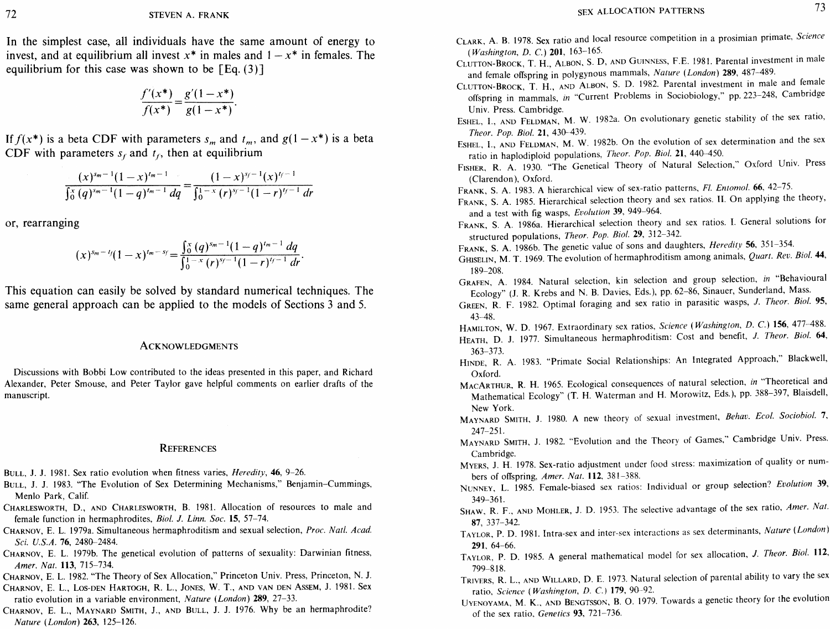In the simplest case, all individuals have the same amount of energy to invest, and at equilibrium all invest  $x^*$  in males and  $1 - x^*$  in females. The equilibrium for this case was shown to be  $[Eq. (3)]$ 

$$
\frac{f'(x^*)}{f(x^*)} = \frac{g'(1-x^*)}{g(1-x^*)}.
$$

If  $f(x^*)$  is a beta CDF with parameters  $s_m$  and  $t_m$ , and  $g(1-x^*)$  is a beta CDF with parameters  $s_f$  and  $t_f$ , then at equilibrium

$$
\frac{(x)^{s_m-1}(1-x)^{t_m-1}}{\int_0^x (q)^{s_m-1}(1-q)^{t_m-1} dq} = \frac{(1-x)^{s_f-1}(x)^{t_f-1}}{\int_0^{1-x} (r)^{s_f-1}(1-r)^{t_f-1} dr}
$$

or, rearranging

g  
\n
$$
(x)^{s_m-t} (1-x)^{t_m-s} = \frac{\int_0^x (q)^{s_m-1} (1-q)^{t_m-1} dq}{\int_0^{1-x} (r)^{s_f-1} (1-r)^{t_f-1} dr}.
$$

This equation can easily be solved by standard numerical techniques. The same general approach can be applied to the models of Sections 3 and 5.

#### **ACKNOWLEDGMENTS**

Discussions with Bobbi Low contributed to the ideas presented in this paper, and Richard Alexander, Peter Smouse, and Peter Taylor gave helpful comments on earlier drafts of the manuscript.

## **REFERENCES**

- BULL, J. J. 1981. Sex ratio evolution when fitness varies, *Heredity,* **46,** 9-26.
- BULL, J. J. 1983. "The Evolution of Sex Determining Mechanisms," Benjamin-Cummings, Menlo Park, Calif.
- CHARLESWORTH, D., AND CHARLESWORTH, B. 1981. Allocation of resources to male and female function in hermaphrodites, *Biol. J. Linn. Soc.* **15,** 57-74.
- CHARNOV, E. L. 1979a. Simultaneous hermaphroditism and sexual selection, *Proc. Natl. Acad. Sci. U.S.A.* **76,** 2480-2484.
- CHARNOV, E. L. 1979b. The genetical evolution of patterns of sexuality: Darwinian fitness, *Amer. Nat.* **113,** 715-734.
- CHARNOV, E. L. 1982. "The Theory of Sex Allocation," Princeton Univ. Press, Princeton, N. J.
- CHARNOV, E. L., LOS-DEN HARTOGH, R. L., JONES, W. T., AND VAN DEN ASSEM, J. 1981. Sex ratio evolution in a variable environment, *Nature (London)* **289,** 27-33.
- CHARNOV, E. L., MAYNARD SMITH, J., AND BULL, J. *J.* 1976. Why be an hermaphrodite? *Nature (London)* 263, 125-126.
- CLARK, A. B. 1978. Sex ratio and local resource competition in a prosimian primate, *Science (Washington, D. C.)* 201, 163-165,
- CLUTTON-BROCK, T. H., ALBON, S. D, AND GUINNESS, F.E. 1981. Parental investment in male and female offspring in polygynous mammals, *Nature (London)* **289,** 487-489.
- CLUTTON-BROCK, T. H., AND ALBON, S. D. 1982. Parental investment in male and female offspring in mammals, *in* "Current Problems in Sociobiology," pp. 223-248, Cambridge Univ. Press. Cambridge.
- ESHEL, 1., AND FELDMAN, M. W. 1982a. On evolutionary genetic stability of the sex ratio, *Theor. Pop. Biol.* **21,** 430-439.
- ESHEL, I., AND FELDMAN, M. W. 1982b. On the evolution of sex determination and the sex ratio in haplodiploid populations, *Theor. Pop. Biol.* **21,** 440-450.
- FISHER, R. A. 1930. "The Genetical Theory of Natural Selection," Oxford Univ. Press (Clarendon), Oxford.
- FRANK, S. A. 1983. A hierarchical view of sex-ratio patterns, *Fl. Entomol.* **66,** 42-75.
- FRANK, S. A. 1985. Hierarchical selection theory and sex ratios. II. On applying the theory, and a test with fig wasps, *Evolution* 39, 949-964.
- FRANK, S. A. 1986a. Hierarchical selection theory and sex ratios. I. General solutions for structured populations, *Theor. Pop. Biol.* **29,** 312-342.
- FRANK, S. A. 1986b. The genetic value of sons and daughters, *Heredity* **56,** 351-354.
- GHISELIN, M. T. 1969. The evolution of hermaphroditism among animals, *Quart. Rev. Biol.* 44, 189-208.
- GRAFEN, A. 1984. Natural selection, kin selection and group selection, *in* "Behavioural Ecology" (J. R. Krebs and N. B. Davies, Eds.), pp. 62-86, Sinauer, Sunderland, Mass.
- GREEN, R. F. 1982. Optimal foraging and sex ratio in parasitic wasps, *J. Theor. Biol.* **95,** 43-48.
- HAMILTON, W. D. 1967. Extraordinary sex ratios, *Science (Washington, D. C.)* **156,** 477-488.
- HEATH, D. J. 1977. Simultaneous hermaphroditism: Cost and benefit, *J. Theor. Biol.* 64, 363-373.
- HINDE, R. A. 1983. "Primate Social Relationships: An Integrated Approach," Blackwell, Oxford.
- MACARTHUR, R. H. 1965. Ecological consequences of natural selection, *in* "Theoretical and Mathematical Ecology" (T. H. Waterman and H. Morowitz, Eds.), pp. 388-397, Blaisdell, New York.
- MAYNARD SMITH, J. 1980. A new theory of sexual investment, *Behay. Ecol. Sociobiol.* 7, 247-251.
- MAYNARD SMITH, J. 1982. "Evolution and the Theory of Games," Cambridge Univ. Press.Cambridge.
- MYERS, J. H. 1978. Sex-ratio adjustment under food stress: maximization of quality or numbers of offspring, *Amer. Nat.* **112,** 381-388.
- NUNNEY, L. 1985. Female-biased sex ratios: Individual or group selection? *Evolution* 39, 349-361.
- SHAW, R. F., AND MOHLER, J. D. 1953. The selective advantage of the sex ratio, *Amer. Nat.* **87,** 337-342.
- TAYLOR, P. D. 1981. Intra-sex and inter-sex interactions as sex determinants, *Nature (London)* 291, 64-66.
- TAYLOR, P. D. 1985. A general mathematical model for sex allocation, *J. Theor. Biol.* **112,** 799-818.
- TRIVERS, R. L., AND WILLARD, D. E. 1973. Natural selection of parental ability to vary the sex ratio, *Science (Washington, D. C.)* **179,** 90-92.
- UYENOYAMA, M. K., AND BENGTSSON, B. 0. 1979. Towards a genetic theory for the evolution of the sex ratio, *Genetics* 93, 721-736.